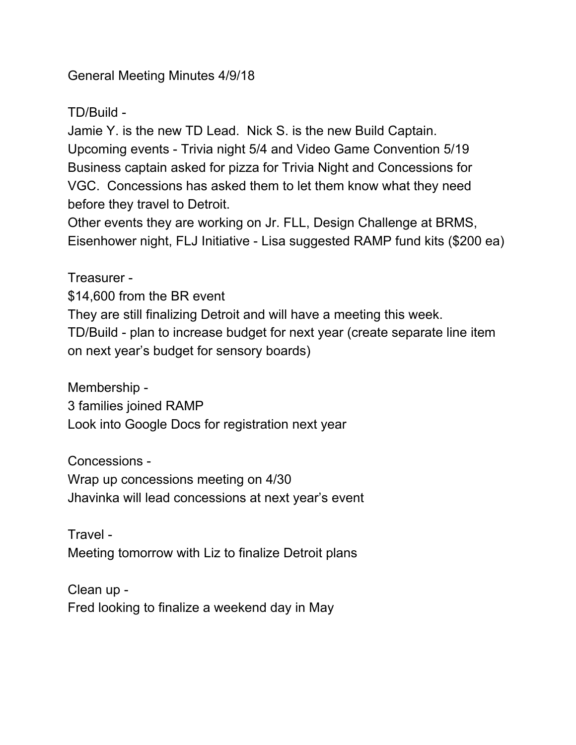General Meeting Minutes 4/9/18

TD/Build -

Jamie Y. is the new TD Lead. Nick S. is the new Build Captain. Upcoming events - Trivia night 5/4 and Video Game Convention 5/19 Business captain asked for pizza for Trivia Night and Concessions for VGC. Concessions has asked them to let them know what they need before they travel to Detroit.

Other events they are working on Jr. FLL, Design Challenge at BRMS, Eisenhower night, FLJ Initiative - Lisa suggested RAMP fund kits (\$200 ea)

Treasurer - \$14,600 from the BR event They are still finalizing Detroit and will have a meeting this week. TD/Build - plan to increase budget for next year (create separate line item on next year's budget for sensory boards)

Membership -

3 families joined RAMP

Look into Google Docs for registration next year

Concessions - Wrap up concessions meeting on 4/30 Jhavinka will lead concessions at next year's event

Travel - Meeting tomorrow with Liz to finalize Detroit plans

Clean up - Fred looking to finalize a weekend day in May